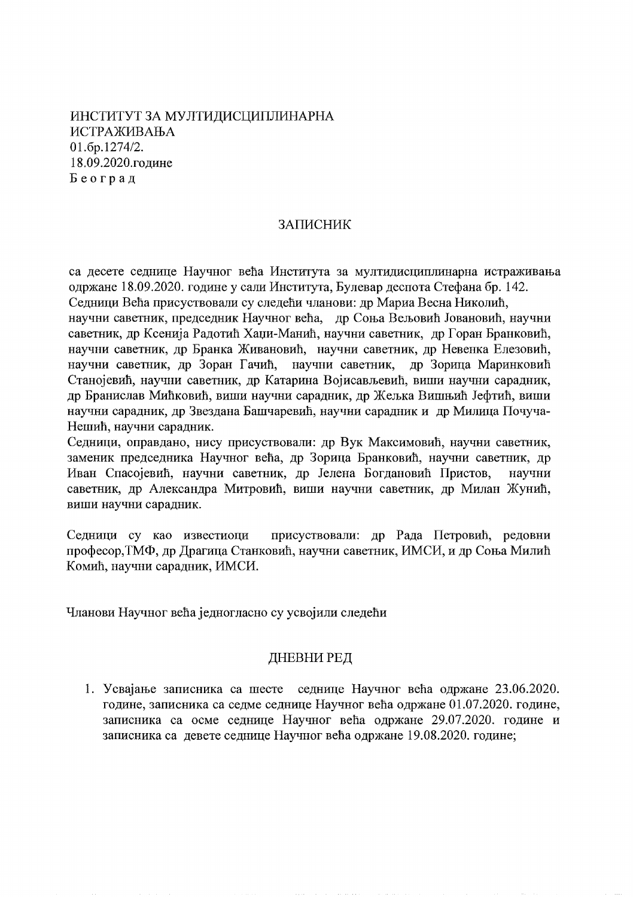ИНСТИТУТ ЗА МУЛТИЛИСЦИПЛИНАРНА **ИСТРАЖИВАЊА** 01.6p.1274/2. 18.09.2020.године Београд

# ЗАПИСНИК

са десете седнице Научног већа Института за мултидисциплинарна истраживања одржане 18.09.2020. године у сали Института, Булевар деспота Стефана бр. 142. Седници Већа присуствовали су следећи чланови: др Мариа Весна Николић, научни саветник, председник Научног већа, др Соња Вељовић Јовановић, научни саветник, др Ксенија Радотић Хаџи-Манић, научни саветник, др Горан Бранковић, научни саветник, др Бранка Живановић, научни саветник, др Невенка Елезовић, научни саветник, др Зоран Гачић, научни саветник, др Зорица Маринковић Станојевић, научни саветник, др Катарина Војисављевић, виши научни сарадник, др Бранислав Мићковић, виши научни сарадник, др Жељка Вишњић Јефтић, виши научни сарадник, др Звездана Башчаревић, научни сарадник и др Милица Почуча-Нешић, научни сарадник.

Седници, оправдано, нису присуствовали: др Вук Максимовић, научни саветник, заменик председника Научног већа, др Зорица Бранковић, научни саветник, др Иван Спасојевић, научни саветник, др Јелена Богдановић Пристов, научни саветник, др Александра Митровић, виши научни саветник, др Милан Жунић, виши научни сарадник.

присуствовали: др Рада Петровић, редовни Седници су као известиоци професор, ТМФ, др Драгица Станковић, научни саветник, ИМСИ, и др Соња Милић Комић, научни сарадник, ИМСИ.

Чланови Научног већа једногласно су усвојили следећи

# ДНЕВНИ РЕД

1. Усвајање записника са шесте седнице Научног већа одржане 23.06.2020. године, записника са седме седнице Научног већа одржане 01.07.2020. године, записника са осме седнице Научног већа одржане 29.07.2020. године и записника са девете седнице Научног већа одржане 19.08.2020. године;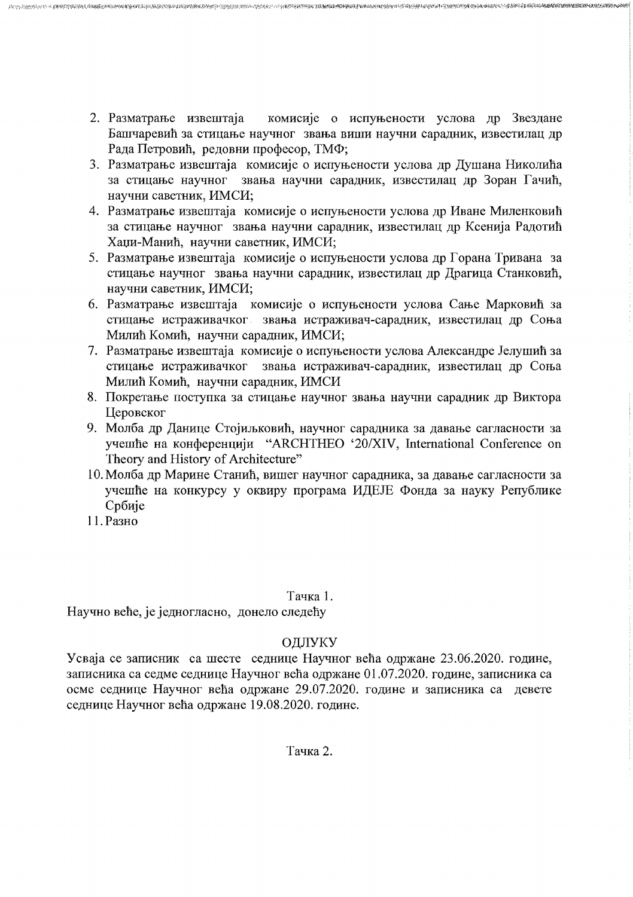комисије о испуњености услова др Звездане 2. Разматрање извештаја Башчаревић за стицање научног звања виши научни сарадник, известилац др Рада Петровић, редовни професор, ТМФ;

**这么大的地方的小小的的是我的表现的情况所得的时候要好多方式的方式是不同时的效应是他的过去式和过去分词使用了不分视的标准和数据的。我们的最好的时候的时候也是我的现在的时候的现在的现在分词的时间的时候,我们** 

- 3. Разматрање извештаја комисије о испуњености услова др Душана Николића за стицање научног звања научни сарадник, известилац др Зоран Гачић, научни саветник, ИМСИ;
- 4. Разматрање извештаја комисије о испуњености услова др Иване Миленковић за стицање научног звања научни сарадник, известилац др Ксенија Радотић Хаџи-Манић, научни саветник, ИМСИ;
- 5. Разматрање извештаја комисије о испуњености услова др Горана Тривана за стицање научног звања научни сарадник, известилац др Драгица Станковић, научни саветник, ИМСИ;
- 6. Разматрање извештаја комисије о испуњености услова Сање Марковић за стицање истраживачког звања истраживач-сарадник, известилац др Соња Милић Комић, научни сарадник, ИМСИ;
- 7. Разматрање извештаја комисије о испуњености услова Александре Јелушић за стицање истраживачког звања истраживач-сарадник, известилац др Соња Милић Комић, научни сарадник, ИМСИ
- 8. Покретање поступка за стицање научног звања научни сарадник др Виктора Церовског
- 9. Молба др Данице Стојиљковић, научног сарадника за давање сагласности за учешће на конференцији "ARCHTHEO '20/XIV, International Conference on Theory and History of Architecture"
- 10. Молба др Марине Станић, вишег научног сарадника, за давање сагласности за учешће на конкурсу у оквиру програма ИДЕЈЕ Фонда за науку Републике Србије
- 11. Разно

# Тачка 1.

Научно веће, је једногласно, донело следећу

# ОДЛУКУ

Усваја се записник са шесте седнице Научног већа одржане 23.06.2020. године, записника са седме седнице Научног већа одржане 01.07.2020. године, записника са осме седнице Научног већа одржане 29.07.2020. године и записника са девете седнице Научног већа одржане 19.08.2020. године.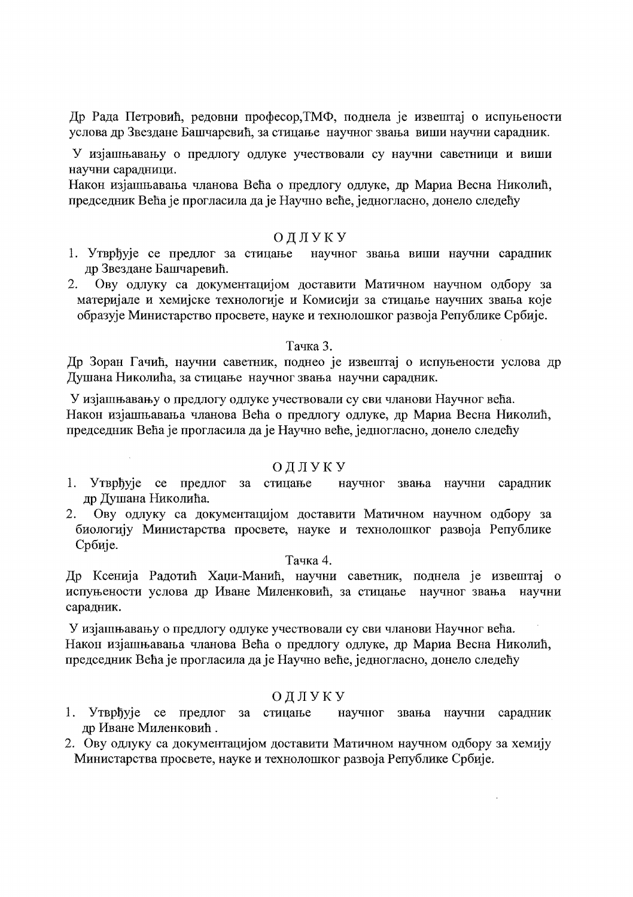Др Рада Петровић, редовни професор, ТМФ, поднела је извештај о испуњености услова др Звездане Башчаревић, за стицање научног звања виши научни сарадник.

У изјашњавању о предлогу одлуке учествовали су научни саветници и виши научни сарадници.

Након изјашњавања чланова Већа о предлогу одлуке, др Мариа Весна Николић, председник Већа је прогласила да је Научно веће, једногласно, донело следећу

## ОДЛУКУ

- научног звања виши научни сарадник 1. Утврђује се предлог за стицање др Звездане Башчаревић.
- Ову одлуку са документацијом доставити Матичном научном одбору за  $2.$ материјале и хемијске технологије и Комисији за стицање научних звања које образује Министарство просвете, науке и технолошког развоја Републике Србије.

#### Тачка 3.

Др Зоран Гачић, научни саветник, поднео је извештај о испуњености услова др Душана Николића, за стицање научног звања научни сарадник.

У изјашњавању о предлогу одлуке учествовали су сви чланови Научног већа. Након изјашњавања чланова Већа о предлогу одлуке, др Мариа Весна Николић, председник Већа је прогласила да је Научно веће, једногласно, донело следећу

#### ОДЛУКУ

- 1. Утврђује се предлог за стицање научног звања научни сарадник др Душана Николића.
- 2. Ову одлуку са документацијом доставити Матичном научном одбору за биологију Министарства просвете, науке и технолошког развоја Републике Србије.

#### Тачка 4.

Др Ксенија Радотић Хаџи-Манић, научни саветник, поднела је извештај о испуњености услова др Иване Миленковић, за стицање научног звања научни сарадник.

У изјашњавању о предлогу одлуке учествовали су сви чланови Научног већа. Након изјашњавања чланова Већа о предлогу одлуке, др Мариа Весна Николић, председник Већа је прогласила да је Научно веће, једногласно, донело следећу

#### ОДЛУКУ

- 1. Утврђује се предлог за стицање научног звања научни сарадник др Иване Миленковић.
- 2. Ову одлуку са документацијом доставити Матичном научном одбору за хемију Министарства просвете, науке и технолошког развоја Републике Србије.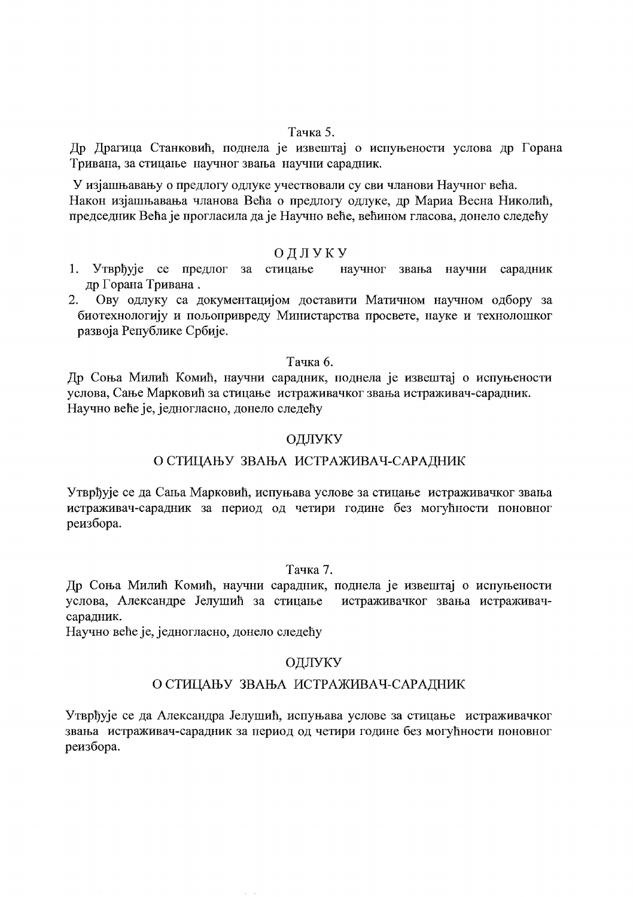#### Тачка 5.

Др Драгица Станковић, поднела је извештај о испуњености услова др Горана Тривана, за стицање научног звања научни сарадник.

У изјашњавању о предлогу одлуке учествовали су сви чланови Научног већа. Након изјашњавања чланова Већа о предлогу одлуке, др Мариа Весна Николић, председник Већа је прогласила да је Научно веће, већином гласова, донело следећу

## ОДЛУКУ

- 1. Утврђује се предлог за стицање научног звања научни сарадник др Горана Тривана.
- $2.$ Ову одлуку са документацијом доставити Матичном научном одбору за биотехнологију и пољопривреду Министарства просвете, науке и технолошког развоја Републике Србије.

## Тачка б.

Др Соња Милић Комић, научни сарадник, поднела је извештај о испуњености услова, Сање Марковић за стицање истраживачког звања истраживач-сарадник. Научно веће је, једногласно, донело следећу

## ОДЛУКУ

## О СТИЦАЊУ ЗВАЊА ИСТРАЖИВАЧ-САРАДНИК

Утврђује се да Сања Марковић, испуњава услове за стицање истраживачког звања истраживач-сарадник за период од четири године без могућности поновног реизбора.

## Тачка 7.

Др Соња Милић Комић, научни сарадник, поднела је извештај о испуњености услова, Александре Јелушић за стицање истраживачког звања истраживачсарадник.

Научно веће је, једногласно, донело следећу

# ОДЛУКУ

## О СТИЦАЊУ ЗВАЊА ИСТРАЖИВАЧ-САРАДНИК

Утврђује се да Александра Јелушић, испуњава услове за стицање истраживачког звања истраживач-сарадник за период од четири године без могућности поновног реизбора.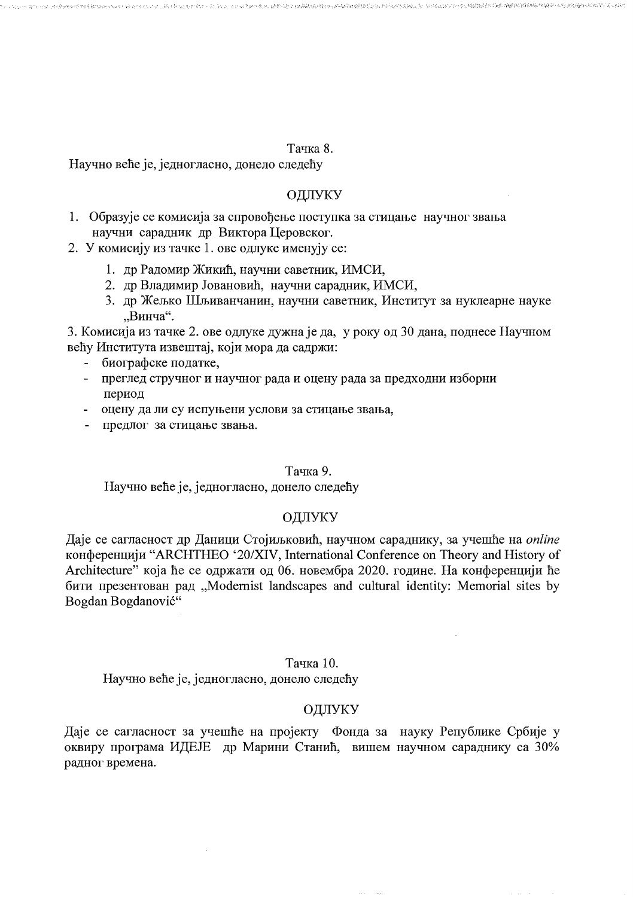#### Тачка 8.

- Mondation State State State State State State State State State Mondate State State State State Mondate State

(中) 网络克萨尔氏体体前缀网络维维酸性脑膜炎(无效)对抗(隔局)(300),300,300,300

Научно веће је, једногласно, донело следећу

# ОДЛУКУ

- 1. Образује се комисија за спровођење поступка за стицање научног звања научни сарадник др Виктора Церовског.
- 2. У комисију из тачке 1. ове одлуке именују се:
	- 1. др Радомир Жикић, научни саветник, ИМСИ,
	- 2. др Владимир Јовановић, научни сарадник, ИМСИ,
	- 3. др Жељко Шљиванчанин, научни саветник, Институт за нуклеарне науке "Винча".

3. Комисија из тачке 2. ове одлуке дужна је да, у року од 30 дана, поднесе Научном већу Института извештај, који мора да садржи:

- биографске податке,
- преглед стручног и научног рада и оцену рада за предходни изборни  $\blacksquare$ период
- оцену да ли су испуњени услови за стицање звања,
- предлог за стицање звања.

#### Тачка 9.

Научно веће је, једногласно, донело следећу

## ОДЛУКУ

Даје се сагласност др Даници Стојиљковић, научном сараднику, за учешће на *online* конференцији "ARCHTHEO '20/XIV, International Conference on Theory and History of Architecture" која ће се одржати од 06. новембра 2020. године. На конференцији ће бити презентован рад "Modernist landscapes and cultural identity: Memorial sites by Bogdan Bogdanović"

## Тачка 10.

Научно веће је, једногласно, донело следећу

## ОДЛУКУ

Даје се сагласност за учешће на пројекту Фонда за науку Републике Србије у оквиру програма ИДЕЈЕ др Марини Станић, вишем научном сараднику са 30% радног времена.